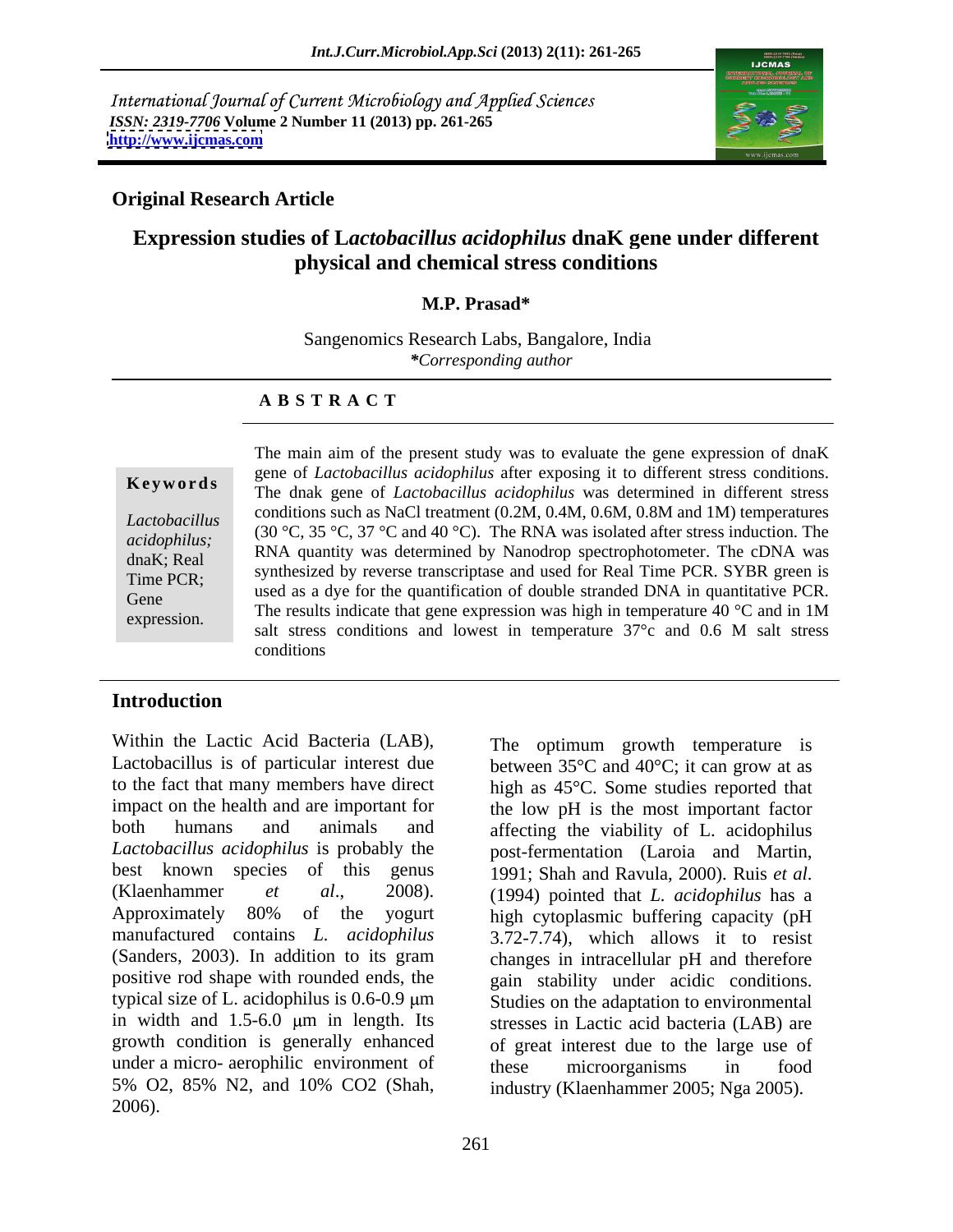International Journal of Current Microbiology and Applied Sciences *ISSN: 2319-7706* **Volume 2 Number 11 (2013) pp. 261-265 <http://www.ijcmas.com>**



## **Original Research Article**

# **Expression studies of L***actobacillus acidophilus* **dnaK gene under different physical and chemical stress conditions**

### **M.P. Prasad\***

Sangenomics Research Labs, Bangalore, India *\*Corresponding author* 

### **A B S T R A C T**

**Ke ywo rds** The dnak gene of *Lactobacillus acidophilus* was determined in different stress Lactobacillus **Conditions such as index** treatment (0.2M, 0.4M, 0.0M, 0.6M and 1M) temperatures<br>
coidentilus: (30 °C, 35 °C, 37 °C and 40 °C). The RNA was isolated after stress induction. The *acidophilus;*  $(30\text{ C}, 35\text{ C}, 37\text{ C})$  and 40 C). The KNA was isolated after sitess induction. The RNA plantity was determined by Nanodrop spectrophotometer. The cDNA was dnaK; Real KINA quantity was determined by Nanodrop spectrophotometer. The CDNA was<br>Time PCR. SYBR green is synthesized by reverse transcriptase and used for Real Time PCR. SYBR green is Time PCR;<br>
used as a dye for the quantification of double stranded DNA in quantitative PCR. Gene used as a dye for the quantification of double stranged DNA in quantifiative PCR.<br>The results indicate that gene expression was high in temperature 40  $\degree$ C and in 1M expression. The results indicate that gene expression was high in temperature 40 C and in TM salt stress conditions and lowest in temperature 37°c and 0.6 M salt stress The main aim of the present study was to evaluate the gene expression of dnaK gene of *Lactobacillus acidophilus* after exposing it to different stress conditions. conditions such as NaCl treatment (0.2M, 0.4M, 0.6M, 0.8M and 1M) temperatures conditions

### **Introduction**

Within the Lactic Acid Bacteria (LAB), The optimum growth temperature is Lactobacillus is of particular interest due between  $35^{\circ}$ C and  $40^{\circ}$ C; it can grow at as to the fact that many members have direct high as 45°C. Some studies reported that impact on the health and are important for the low pH is the most important factor both humans and animals and affecting the viability of L. acidophilus *Lactobacillus acidophilus* is probably the best known species of this genus 1991; Shah and Ravula, 2000). Ruis et al. (Klaenhammer *et al*., 2008). Approximately 80% of the yogurt high cytoplasmic buffering capacity (pH manufactured contains *L. acidophilus* 3.72-7.74), which allows it to resist (Sanders, 2003). In addition to its gram changes in intracellular pH and therefore positive rod shape with rounded ends, the gain stability under acidic conditions. typical size of L. acidophilus is  $0.6 - 0.9 \mu m$  Studies on the adaptation to environmental in width and  $1.5-6.0 \mu m$  in length. Its growth condition is generally enhanced of great interest due to the large use of under a micro- aerophilic environment of these microorganisms in food 5% O2, 85% N2, and 10% CO2 (Shah, 2006).

post-fermentation (Laroia and Martin, 1991; Shah and Ravula, 2000). Ruis *et al*. (1994) pointed that *L. acidophilus* has <sup>a</sup> stresses in Lactic acid bacteria (LAB) are these microorganisms in food industry (Klaenhammer 2005; Nga 2005).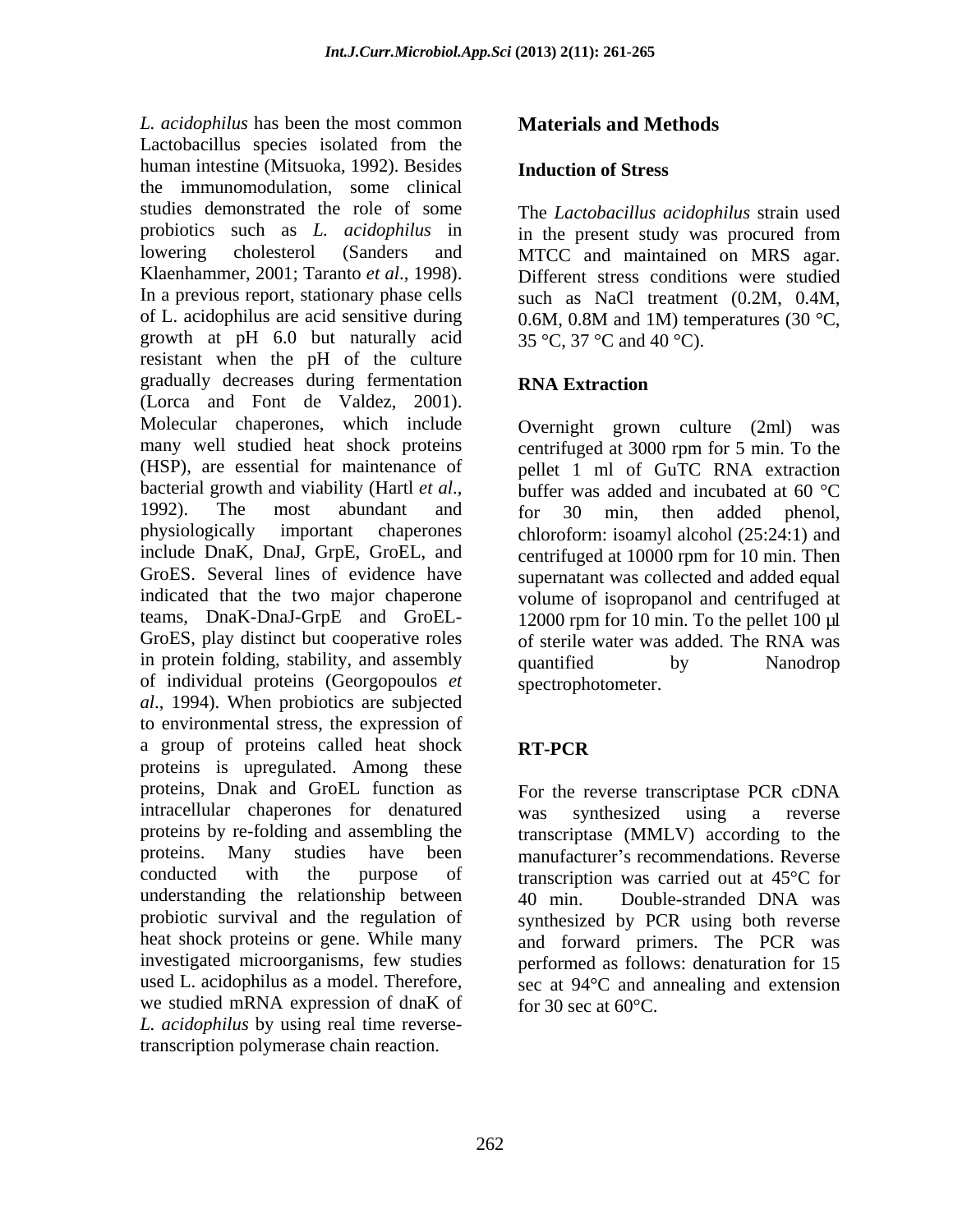*L. acidophilus* has been the most common Lactobacillus species isolated from the human intestine (Mitsuoka, 1992). Besides the immunomodulation, some clinical studies demonstrated the role of some The *Lactobacillus acidophilus* strain used probiotics such as *L. acidophilus* in lowering cholesterol (Sanders and MTCC and maintained on MRS agar. Klaenhammer, 2001; Taranto *et al*., 1998). In a previous report, stationary phase cells of L. acidophilus are acid sensitive during  $0.6M$ ,  $0.8M$  and  $1M$ ) temperatures (30 °C, growth at pH 6.0 but naturally acid resistant when the pH of the culture gradually decreases during fermentation RNA Extraction (Lorca and Font de Valdez, 2001). Molecular chaperones, which include Overnight grown culture (2ml) was many well studied heat shock proteins (HSP), are essential for maintenance of pellet 1 ml of GuTC RNA extraction bacterial growth and viability (Hartl *et al*., buffer was added and incubated at 60 °C<br>1992). The most abundant and for 30 min, then added phenol. physiologically important chaperones chloroform: isoamyl alcohol (25:24:1) and include DnaK, DnaJ, GrpE, GroEL, and centrifuged at 10000 rpm for 10 min. Then GroES. Several lines of evidence have supernatant was collected and added equal indicated that the two major chaperone volume of isopropanol and centrifuged at teams, DnaK-DnaJ-GrpE and GroEL- 12000 rpm for 10 min. To the pellet 100 µl GroES, play distinct but cooperative roles of sterile water was added. The RNA was in protein folding, stability, and assembly quantified by Nanodrop of individual proteins (Georgopoulos *et al*., 1994). When probiotics are subjected to environmental stress, the expression of a group of proteins called heat shock **RT-PCR** proteins is upregulated. Among these proteins, Dnak and GroEL function as intracellular chaperones for denatured was synthesized using a reverse proteins by re-folding and assembling the proteins. Many studies have been manufacturer's recommendations. Reverse conducted with the purpose of transcription was carried out at 45°C for understanding the relationship between 40 min. Double-stranded DNA was probiotic survival and the regulation of synthesized by PCR using both reverse heat shock proteins or gene. While many and forward primers. The PCR was investigated microorganisms, few studies performed as follows: denaturation for 15 used L. acidophilus as a model. Therefore, sec at  $94^{\circ}$ C and annealing and extension we studied mRNA expression of dnaK of  $\int$  for 30 sec at 60 °C. *L. acidophilus* by using real time reversetranscription polymerase chain reaction. *L* acceley<br>hitchick has been in most common. **Materials and Methods**<br>
Lactobyadilite species isolated from the<br>
harm interaction (Methods). 1992). Besides from the time acceleration<br>
the immension control and the correlat

## **Induction of Stress**

in the present study was procured from MTCC and maintained on MRS agar. Different stress conditions were studied such as NaCl treatment (0.2M, 0.4M, 0.6M, 0.8M and 1M) temperatures (30  $^{\circ}$ C, 35 °C, 37 °C and 40 °C).

## **RNA Extraction**

centrifuged at 3000 rpm for 5 min. To the buffer was added and incubated at 60 °C for 30 min, then added phenol, quantified by Nanodrop spectrophotometer.

# **RT-PCR**

For the reverse transcriptase PCR cDNA was synthesized using a reverse transcriptase (MMLV) according to the 40 min. Double-stranded DNA was for 30 sec at  $60^{\circ}$ C.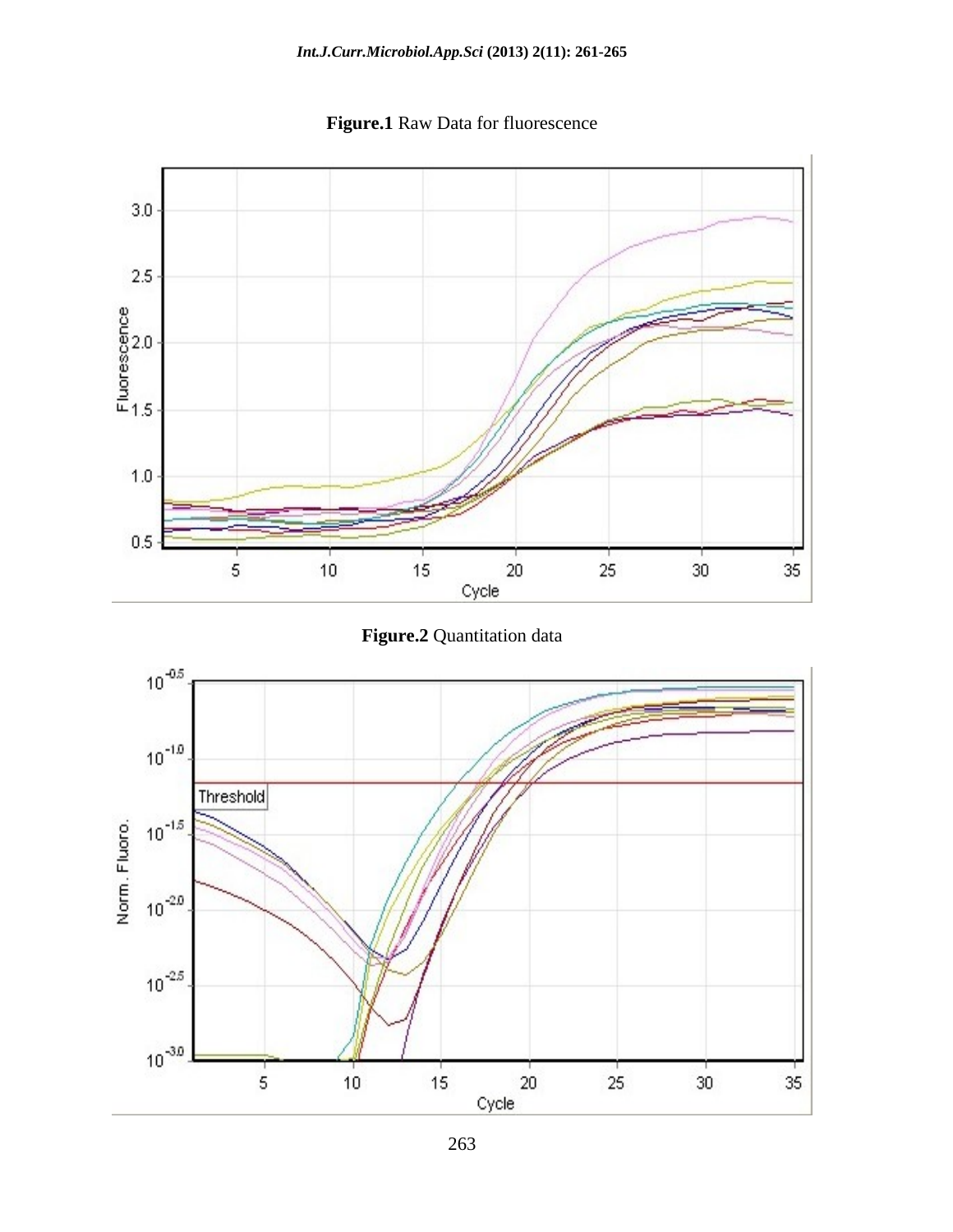

**Figure.1** Raw Data for fluorescence



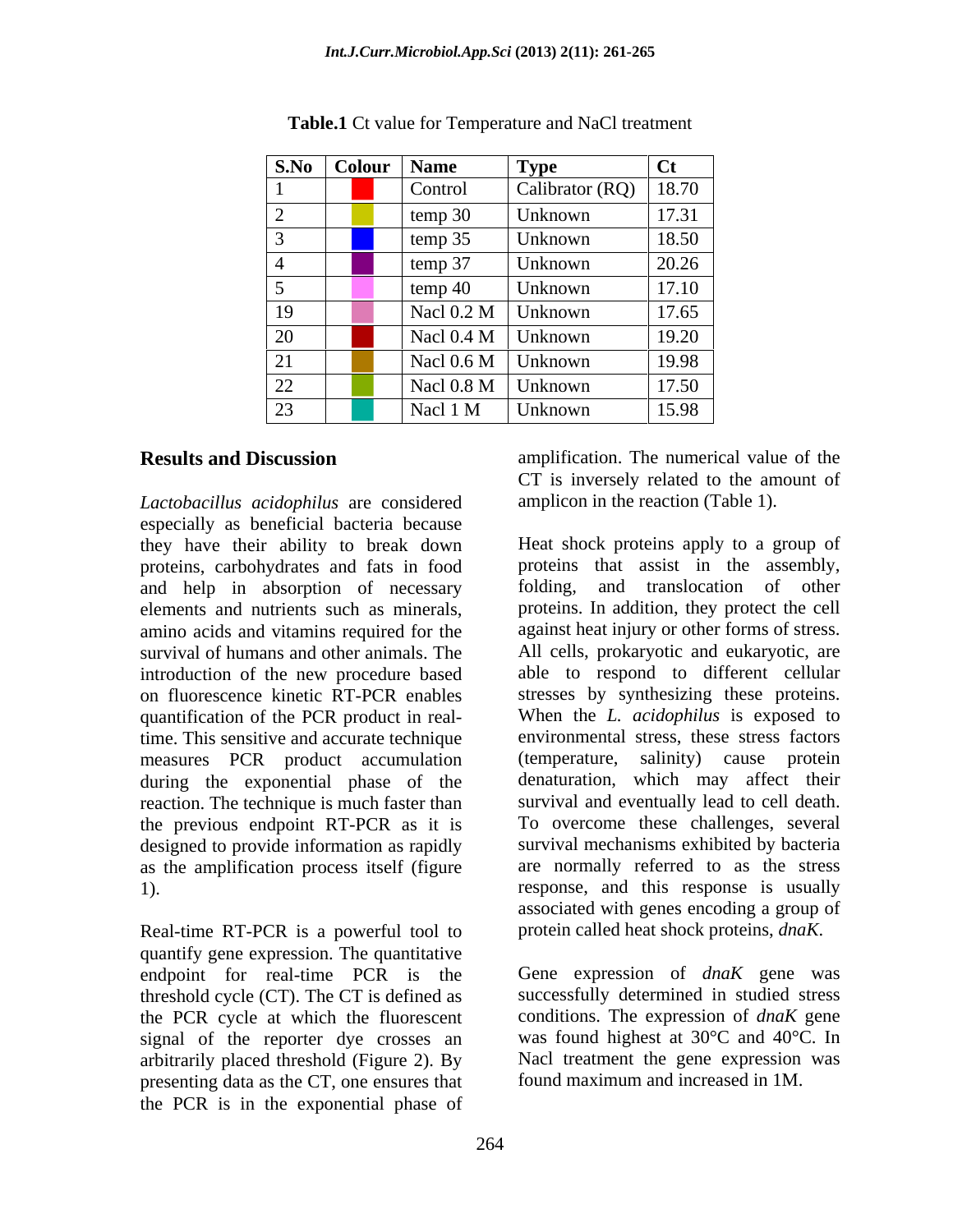|                           |       | S.No Colour Name     | $\perp$ Type            |                   |
|---------------------------|-------|----------------------|-------------------------|-------------------|
|                           |       | Contro               | Calibrator (RQ)   18.70 |                   |
|                           |       | temp $30$            | Unknown                 | 17.31             |
| ______                    |       | temp $35$            | Unknown                 | ________<br>18.50 |
|                           |       | temp 37              | Unknown                 | ______<br>20.26   |
|                           |       | temp $40$            | Unknown                 | 17.10             |
| 19                        |       | Nacl $0.2 M$ Unknown |                         | $\boxed{17.65}$   |
| 20                        |       | Nacl $0.4 M$ Unknown |                         | 19.20             |
| $\sim$ $\sim$<br>$\sim$ 1 |       | Nacl $0.6 M$ Unknown |                         | 19.98             |
| $\overline{22}$           | _____ | Nacl 0.8 M Unknown   |                         | 17.50             |
| 23                        |       | Nacl 1 M             | Unknown                 | 15.98             |

**Table.1** Ct value for Temperature and NaCl treatment

*Lactobacillus acidophilus* are considered especially as beneficial bacteria because proteins, carbohydrates and fats in food and help in absorption of necessary elements and nutrients such as minerals, amino acids and vitamins required for the quantification of the PCR product in realtime. This sensitive and accurate technique measures PCR product accumulation (temperature, salinity) cause protein during the exponential phase of the reaction. The technique is much faster than the previous endpoint RT-PCR as it is designed to provide information as rapidly as the amplification process itself (figure

Real-time RT-PCR is a powerful tool to protein called heat shock proteins, dnaK. quantify gene expression. The quantitative endpoint for real-time PCR is the Gene expression of *dnaK* gene was threshold cycle (CT). The CT is defined as the PCR cycle at which the fluorescent signal of the reporter dye crosses an arbitrarily placed threshold (Figure 2). By presenting data as the CT, one ensures that the PCR is in the exponential phase of

**Results and Discussion amplification**. The numerical value of the CT is inversely related to the amount of amplicon in the reaction (Table 1).

they have their ability to break down Heat shock proteins apply to a group of survival of humans and other animals. The All cells, prokaryotic and eukaryotic, are introduction of the new procedure based able to respond to different cellular on fluorescence kinetic RT-PCR enables stresses by synthesizing these proteins. 1). response, and this response is usually proteins that assist in the assembly, folding, and translocation of other proteins. In addition, they protect the cell against heat injury or other forms of stress. When the *L. acidophilus* is exposed to environmental stress, these stress factors (temperature, salinity) cause protein denaturation, which may affect their survival and eventually lead to cell death. To overcome these challenges, several survival mechanisms exhibited by bacteria are normally referred to as the stress associated with genes encoding a group of

protein called heat shock proteins, *dnaK*. Gene expression of *dnaK* gene was successfully determined in studied stress conditions. The expression of *dnaK* gene was found highest at 30°C and 40°C. In Nacl treatment the gene expression was found maximum and increased in 1M.